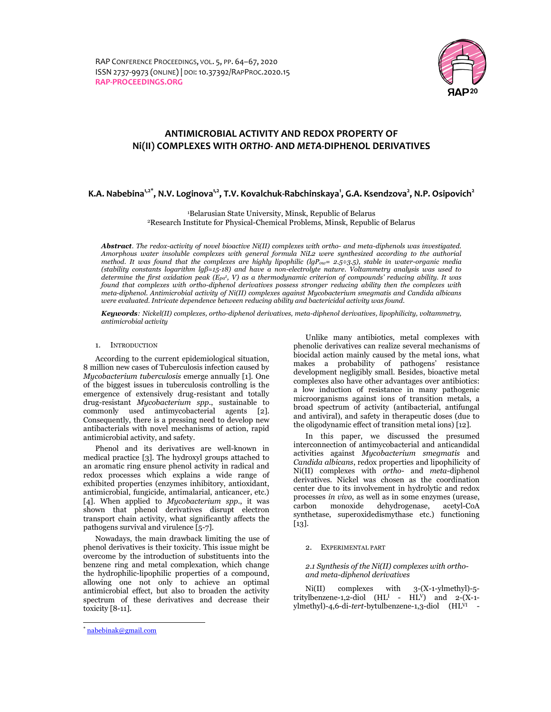

# ANTIMICROBIAL ACTIVITY AND REDOX PROPERTY OF Ni(II) COMPLEXES WITH ORTHO- AND META-DIPHENOL DERIVATIVES

# K.A. Nabebina<sup>1,2\*</sup>, N.V. Loginova<sup>1,2</sup>, T.V. Kovalchuk-Rabchinskaya<sup>1</sup>, G.A. Ksendzova<sup>2</sup>, N.P. Osipovich<sup>2</sup>

<sup>1</sup>Belarusian State University, Minsk, Republic of Belarus <sup>2</sup>Research Institute for Physical-Chemical Problems, Minsk, Republic of Belarus

Abstract. The redox-activity of novel bioactive  $Ni(II)$  complexes with ortho- and meta-diphenols was investigated. Amorphous water insoluble complexes with general formula NiL2 were synthesized according to the authorial method. It was found that the complexes are highly lipophilic (lgPow= 2.5÷3.5), stable in water-organic media (stability constants logarithm lgβ=15-18) and have a non-electrolyte nature. Voltammetry analysis was used to determine the first oxidation peak (E $_{pa}$ 1, V) as a thermodynamic criterion of compounds' reducing ability. It was found that complexes with ortho-diphenol derivatives possess stronger reducing ability then the complexes with meta-diphenol. Antimicrobial activity of Ni(II) complexes against Mycobacterium smegmatis and Candida albicans were evaluated. Intricate dependence between reducing ability and bactericidal activity was found.

Keywords: Nickel(II) complexes, ortho-diphenol derivatives, meta-diphenol derivatives, lipophilicity, voltammetry, antimicrobial activity

## 1. INTRODUCTION

According to the current epidemiological situation, 8 million new cases of Tuberculosis infection caused by Mycobacterium tuberculosis emerge annually [1]. One of the biggest issues in tuberculosis controlling is the emergence of extensively drug-resistant and totally drug-resistant Mycobacterium spp., sustainable to commonly used antimycobacterial agents [2]. Consequently, there is a pressing need to develop new antibacterials with novel mechanisms of action, rapid antimicrobial activity, and safety.

Phenol and its derivatives are well-known in medical practice [3]. The hydroxyl groups attached to an aromatic ring ensure phenol activity in radical and redox processes which explains a wide range of exhibited properties (enzymes inhibitory, antioxidant, antimicrobial, fungicide, antimalarial, anticancer, etc.) [4]. When applied to *Mycobacterium spp.*, it was shown that phenol derivatives disrupt electron transport chain activity, what significantly affects the pathogens survival and virulence [5-7].

Nowadays, the main drawback limiting the use of phenol derivatives is their toxicity. This issue might be overcome by the introduction of substituents into the benzene ring and metal complexation, which change the hydrophilic-lipophilic properties of a compound, allowing one not only to achieve an optimal antimicrobial effect, but also to broaden the activity spectrum of these derivatives and decrease their toxicity [8-11].

In this paper, we discussed the presumed interconnection of antimycobacterial and anticandidal activities against Mycobacterium smegmatis and Candida albicans, redox properties and lipophilicity of Ni(II) complexes with ortho- and meta-diphenol derivatives. Nickel was chosen as the coordination center due to its involvement in hydrolytic and redox processes in vivo, as well as in some enzymes (urease, carbon monoxide dehydrogenase, acetyl-CoA synthetase, superoxidedismythase etc.) functioning [13].

#### 2. EXPERIMENTAL PART

### 2.1 Synthesis of the Ni(II) complexes with orthoand meta-diphenol derivatives

Ni(II) complexes with 3-(X-1-ylmethyl)-5 tritylbenzene-1,2-diol  $(HL<sup>I</sup> - HL<sup>V</sup>)$  and 2- $(X-1$ ylmethyl)-4,6-di-tert-bytulbenzene-1,3-diol (HLVI -

 $\overline{a}$ 

Unlike many antibiotics, metal complexes with phenolic derivatives can realize several mechanisms of biocidal action mainly caused by the metal ions, what makes a probability of pathogens' resistance development negligibly small. Besides, bioactive metal complexes also have other advantages over antibiotics: a low induction of resistance in many pathogenic microorganisms against ions of transition metals, a broad spectrum of activity (antibacterial, antifungal and antiviral), and safety in therapeutic doses (due to the oligodynamic effect of transition metal ions) [12].

<sup>\*</sup> nabebinak@gmail.com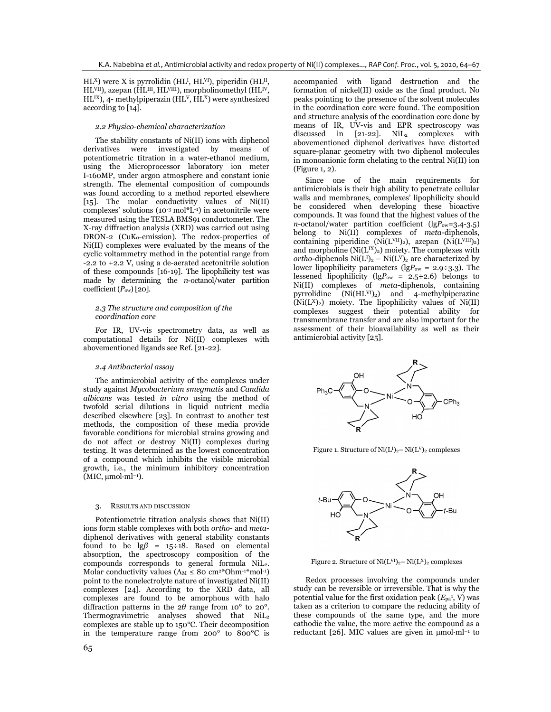$HL<sup>X</sup>$ ) were X is pyrrolidin (HL<sup>I</sup>, HL<sup>VI</sup>), piperidin (HL<sup>II</sup>, HL<sup>VII</sup>), azepan (HL<sup>III</sup>, HL<sup>VIII</sup>), morpholinomethyl (HL<sup>IV</sup>  $HL^{IX}$ ), 4- methylpiperazin (HL<sup>V</sup>, HL<sup>X</sup>) were synthesized according to [14].

#### 2.2 Physico-chemical characterization

The stability constants of Ni(II) ions with diphenol derivatives were investigated by means of potentiometric titration in a water-ethanol medium, using the Microprocessor laboratory ion meter I-160MP, under argon atmosphere and constant ionic strength. The elemental composition of compounds was found according to a method reported elsewhere [15]. The molar conductivity values of Ni(II) complexes' solutions  $(10^{-3} \text{ mol}^*L^{-1})$  in acetonitrile were measured using the TESLA BMS91 conductometer. The X-ray diffraction analysis (XRD) was carried out using DRON-2 (CuK<sub>a</sub>-emission). The redox-properties of Ni(II) complexes were evaluated by the means of the cyclic voltammetry method in the potential range from -2.2 to +2.2 V, using a de-aerated acetonitrile solution of these compounds [16-19]. The lipophilicity test was made by determining the  $n$ -octanol/water partition coefficient  $(P<sub>ow</sub>)$  [20].

#### 2.3 The structure and composition of the coordination core

For IR, UV-vis spectrometry data, as well as computational details for Ni(II) complexes with abovementioned ligands see Ref. [21-22].

#### 2.4 Antibacterial assay

The antimicrobial activity of the complexes under study against Mycobacterium smegmatis and Candida albicans was tested in vitro using the method of twofold serial dilutions in liquid nutrient media described elsewhere [23]. In contrast to another test methods, the composition of these media provide favorable conditions for microbial strains growing and do not affect or destroy Ni(II) complexes during testing. It was determined as the lowest concentration of a compound which inhibits the visible microbial growth, i.e., the minimum inhibitory concentration  $(MIC, \mu mol\cdot ml^{-1}).$ 

#### 3. RESULTS AND DISCUSSION

Potentiometric titration analysis shows that Ni(II) ions form stable complexes with both ortho- and metadiphenol derivatives with general stability constants found to be  $\lg\beta$  = 15÷18. Based on elemental absorption, the spectroscopy composition of the compounds corresponds to general formula NiL2. Molar conductivity values  $(\Lambda_M \leq 80 \text{ cm}^{2*} \text{Ohm}^{-1*} \text{mol}^{-1})$ point to the nonelectrolyte nature of investigated Ni(II) complexes [24]. According to the XRD data, all complexes are found to be amorphous with halo diffraction patterns in the  $2\theta$  range from 10° to 20°. Thermogravimetric analyses showed that NiL<sup>2</sup> complexes are stable up to 150°C. Their decomposition in the temperature range from 200° to 800°C is accompanied with ligand destruction and the formation of nickel(II) oxide as the final product. No peaks pointing to the presence of the solvent molecules in the coordination core were found. The composition and structure analysis of the coordination core done by means of IR, UV-vis and EPR spectroscopy was discussed in  $[21-22]$ . NiL<sub>2</sub> complexes with abovementioned diphenol derivatives have distorted square-planar geometry with two diphenol molecules in monoanionic form chelating to the central Ni(II) ion (Figure 1, 2).

Since one of the main requirements for antimicrobials is their high ability to penetrate cellular walls and membranes, complexes' lipophilicity should be considered when developing these bioactive compounds. It was found that the highest values of the  $n$ -octanol/water partition coefficient (lgP<sub>ow</sub>=3.4-3.5) belong to Ni(II) complexes of *meta*-diphenols, containing piperidine (Ni $(L<sup>VII</sup>)<sub>2</sub>$ ), azepan (Ni $(L<sup>VIII</sup>)<sub>2</sub>$ ) and morpholine ( $Ni(L^{IX})_2$ ) moiety. The complexes with ortho-diphenols  $Ni(L^{I})_{2} - Ni(L^{V})_{2}$  are characterized by lower lipophilicity parameters (lg $P_{\text{ow}} = 2.9 \div 3.3$ ). The lessened lipophilicity (lgP<sub>ow</sub> = 2.5÷2.6) belongs to Ni(II) complexes of meta-diphenols, containing pyrrolidine  $(Ni(HL^{VI})_2)$  and 4-methylpiperazine  $(Ni(L<sup>X</sup>)<sub>2</sub>)$  moiety. The lipophilicity values of Ni $(II)$ complexes suggest their potential ability for transmembrane transfer and are also important for the assessment of their bioavailability as well as their antimicrobial activity [25].



Figure 1. Structure of  $Ni(L<sup>I</sup>)<sub>2</sub> – Ni(L<sup>V</sup>)<sub>2</sub> complexes$ 



Figure 2. Structure of  $Ni(L^{VI})_2 - Ni(L^{X})_2$  complexes

Redox processes involving the compounds under study can be reversible or irreversible. That is why the potential value for the first oxidation peak  $(E_{pa}^1, V)$  was taken as a criterion to compare the reducing ability of these compounds of the same type, and the more cathodic the value, the more active the compound as a reductant [26]. MIC values are given in  $\mu$ mol·ml<sup>-1</sup> to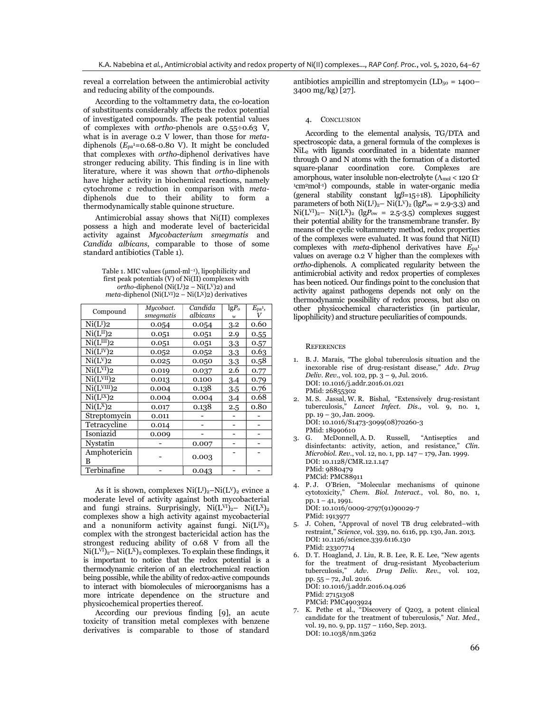reveal a correlation between the antimicrobial activity and reducing ability of the compounds.

According to the voltammetry data, the co-location of substituents considerably affects the redox potential of investigated compounds. The peak potential values of complexes with ortho-phenols are 0.55÷0.63 V, what is in average 0.2 V lower, than those for metadiphenols  $(E_{pa} = 0.68 - 0.80 \text{ V})$ . It might be concluded that complexes with ortho-diphenol derivatives have stronger reducing ability. This finding is in line with literature, where it was shown that ortho-diphenols have higher activity in biochemical reactions, namely cytochrome c reduction in comparison with metadiphenols due to their ability to form a thermodynamically stable quinone structure.

Antimicrobial assay shows that Ni(II) complexes possess a high and moderate level of bactericidal activity against Mycobacterium smegmatis and Candida albicans, comparable to those of some standard antibiotics (Table 1).

Table 1. MIC values ( $\mu$ mol·ml<sup>-1</sup>), lipophilicity and first peak potentials (V) of Ni(II) complexes with ortho-diphenol (Ni(L<sup>I</sup>)2 – Ni(L<sup>V</sup>)<sub>2</sub>) and  $meta$ -diphenol (Ni(L<sup>VI</sup>)2 – Ni(L<sup>X</sup>)2) derivatives

| Compound                                      | Mycobact.<br>smegmatis | Candida<br>albicans | $lgP_0$  | $E_{\text{pa}^1}$<br>V |
|-----------------------------------------------|------------------------|---------------------|----------|------------------------|
| Ni(L <sup>I</sup> )2                          | 0.054                  | 0.054               | W<br>3.2 | 0.60                   |
| $\overline{\text{Ni}}(\text{L}^{\text{II}})2$ | 0.051                  | 0.051               | 2.9      | 0.55                   |
| Ni(L <sup>III</sup> )2                        | 0.051                  | 0.051               | 3.3      | 0.57                   |
| $Ni(L^{IV})2$                                 | 0.052                  | 0.052               | 3.3      | 0.63                   |
| Ni(L <sup>V</sup> )2                          | 0.025                  | 0.050               | 3.3      | 0.58                   |
| Ni(L <sup>VI</sup> )2                         | 0.019                  | 0.037               | 2.6      | 0.77                   |
| Ni(L <sup>VII</sup> )2                        | 0.013                  | 0.100               | 3.4      | 0.79                   |
| Ni(L <sup>VIII</sup> )2                       | 0.004                  | 0.138               | 3.5      | 0.76                   |
| Ni(L <sup>IX</sup> )2                         | 0.004                  | 0.004               | 3.4      | 0.68                   |
| $Ni(L^X)2$                                    | 0.017                  | 0.138               | 2.5      | 0.80                   |
| Streptomycin                                  | 0.011                  |                     |          |                        |
| Tetracycline                                  | 0.014                  |                     |          |                        |
| Isoniazid                                     | 0.009                  |                     |          |                        |
| Nystatin                                      |                        | 0.007               |          |                        |
| Amphotericin<br>B                             |                        | 0.003               |          |                        |
| Terbinafine                                   |                        | 0.043               |          |                        |

As it is shown, complexes  $Ni(L<sup>I</sup>)<sub>2</sub>–Ni(L<sup>V</sup>)<sub>2</sub>$  evince a moderate level of activity against both mycobacterial and fungi strains. Surprisingly,  $Ni(L^{VI})_2 - Ni(L^{X})_2$ complexes show a high activity against mycobacterial and a nonuniform activity against fungi.  $Ni(L^{IX})_{2}$ complex with the strongest bactericidal action has the strongest reducing ability of 0.68 V from all the  $Ni(L<sup>VI</sup>)<sub>2</sub>– Ni(L<sup>X</sup>)<sub>2</sub> complexes. To explain these findings, it$ is important to notice that the redox potential is a thermodynamic criterion of an electrochemical reaction being possible, while the ability of redox-active compounds to interact with biomolecules of microorganisms has a more intricate dependence on the structure and physicochemical properties thereof.

According our previous finding [9], an acute toxicity of transition metal complexes with benzene derivatives is comparable to those of standard antibiotics ampicillin and streptomycin  $(LD_{50} = 1400 -$ 3400 mg/kg) [27].

#### 4. CONCLUSION

According to the elemental analysis, TG/DTA and spectroscopic data, a general formula of the complexes is NiL2 with ligands coordinated in a bidentate manner through O and N atoms with the formation of a distorted square-planar coordination core. Complexes are amorphous, water insoluble non-electrolyte ( $\Lambda$ <sub>mol</sub> < 120  $\Omega$ <sup>-</sup> <sup>1</sup>cm<sup>2</sup>mol-1) compounds, stable in water-organic media (general stability constant  $\lg\beta=15\div 18$ ). Lipophilicity parameters of both  $Ni(L<sup>I</sup>)<sub>2</sub>– Ni(L<sup>V</sup>)<sub>2</sub> (lgP<sub>ow</sub> = 2.9-3.3)$  and Ni(L<sup>VI</sup>)<sub>2</sub>– Ni(L<sup>X</sup>)<sub>2</sub> (lgP<sub>ow</sub> = 2.5-3.5) complexes suggest their potential ability for the transmembrane transfer. By means of the cyclic voltammetry method, redox properties of the complexes were evaluated. It was found that Ni(II) complexes with meta-diphenol derivatives have  $E_{pa}$ <sup>1</sup> values on average 0.2 V higher than the complexes with ortho-diphenols. A complicated regularity between the antimicrobial activity and redox properties of complexes has been noticed. Our findings point to the conclusion that activity against pathogens depends not only on the thermodynamic possibility of redox process, but also on other physicochemical characteristics (in particular, lipophilicity) and structure peculiarities of compounds.

**REFERENCES** 

- 1. B. J. Marais, "The global tuberculosis situation and the inexorable rise of drug-resistant disease," Adv. Drug Deliv. Rev., vol. 102, pp. 3 – 9, Jul. 2016. DOI: 10.1016/j.addr.2016.01.021 PMid: 26855302
- 2. M. S. Jassal, W. R. Bishal, "Extensively drug-resistant tuberculosis," Lancet Infect. Dis., vol. 9, no. 1, pp. 19 – 30, Jan. 2009. DOI: 10.1016/S1473-3099(08)70260-3 PMid: 18990610
- 3. G. McDonnell, A. D. Russell, "Antiseptics and disinfectants: activity, action, and resistance," Clin. Microbiol. Rev., vol. 12, no. 1, pp. 147 – 179, Jan. 1999. DOI: 10.1128/CMR.12.1.147 PMid: 9880479 PMCid: PMC88911
- 4. P. J. O'Brien, "Molecular mechanisms of quinone cytotoxicity," Chem. Biol. Interact., vol. 80, no. 1, pp. 1 – 41, 1991. DOI: 10.1016/0009-2797(91)90029-7 PMid: 1913977
- 5. J. Cohen, "Approval of novel TB drug celebrated–with restraint," Science, vol. 339, no. 6116, pp. 130, Jan. 2013. DOI: 10.1126/science.339.6116.130 PMid: 23307714
- 6. D. T. Hoagland, J. Liu, R. B. Lee, R. E. Lee, "New agents for the treatment of drug-resistant Mycobacterium tuberculosis," Adv. Drug Deliv. Rev., vol. 102, pp. 55 – 72, Jul. 2016. DOI: 10.1016/j.addr.2016.04.026 PMid: 27151308 PMCid: PMC4903924
- 7. K. Pethe et al., "Discovery of Q203, a potent clinical candidate for the treatment of tuberculosis," Nat. Med., vol. 19, no. 9, pp. 1157 – 1160, Sep. 2013. DOI: 10.1038/nm.3262